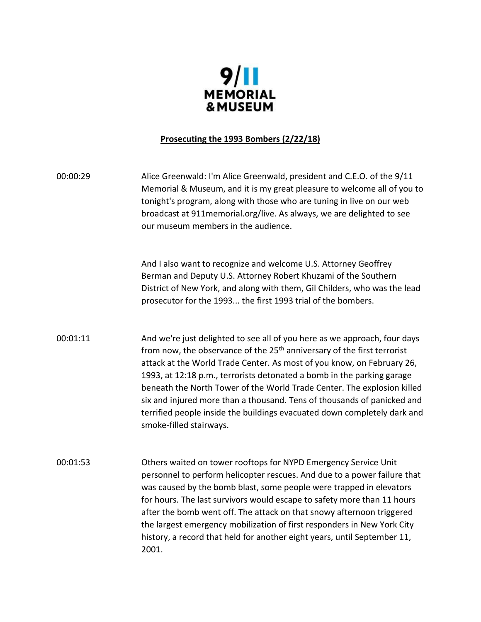

### **Prosecuting the 1993 Bombers (2/22/18)**

00:00:29 Alice Greenwald: I'm Alice Greenwald, president and C.E.O. of the 9/11 Memorial & Museum, and it is my great pleasure to welcome all of you to tonight's program, along with those who are tuning in live on our web broadcast at 911memorial.org/live. As always, we are delighted to see our museum members in the audience.

> And I also want to recognize and welcome U.S. Attorney Geoffrey Berman and Deputy U.S. Attorney Robert Khuzami of the Southern District of New York, and along with them, Gil Childers, who was the lead prosecutor for the 1993... the first 1993 trial of the bombers.

00:01:11 And we're just delighted to see all of you here as we approach, four days from now, the observance of the 25<sup>th</sup> anniversary of the first terrorist attack at the World Trade Center. As most of you know, on February 26, 1993, at 12:18 p.m., terrorists detonated a bomb in the parking garage beneath the North Tower of the World Trade Center. The explosion killed six and injured more than a thousand. Tens of thousands of panicked and terrified people inside the buildings evacuated down completely dark and smoke-filled stairways.

00:01:53 Others waited on tower rooftops for NYPD Emergency Service Unit personnel to perform helicopter rescues. And due to a power failure that was caused by the bomb blast, some people were trapped in elevators for hours. The last survivors would escape to safety more than 11 hours after the bomb went off. The attack on that snowy afternoon triggered the largest emergency mobilization of first responders in New York City history, a record that held for another eight years, until September 11, 2001.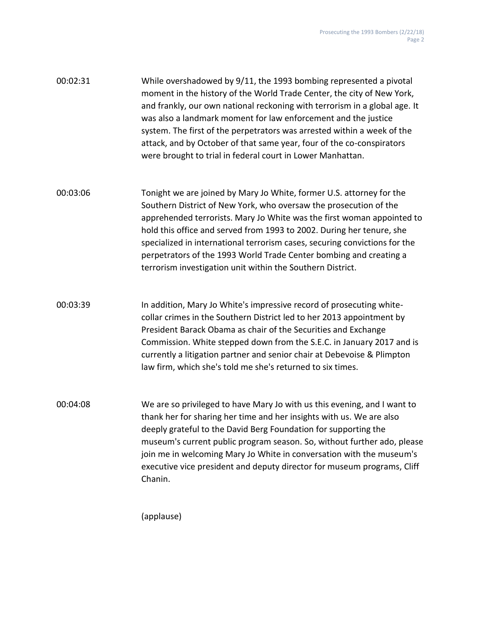| 00:02:31 | While overshadowed by 9/11, the 1993 bombing represented a pivotal<br>moment in the history of the World Trade Center, the city of New York,<br>and frankly, our own national reckoning with terrorism in a global age. It<br>was also a landmark moment for law enforcement and the justice<br>system. The first of the perpetrators was arrested within a week of the<br>attack, and by October of that same year, four of the co-conspirators<br>were brought to trial in federal court in Lower Manhattan. |
|----------|----------------------------------------------------------------------------------------------------------------------------------------------------------------------------------------------------------------------------------------------------------------------------------------------------------------------------------------------------------------------------------------------------------------------------------------------------------------------------------------------------------------|
| 00:03:06 | Tonight we are joined by Mary Jo White, former U.S. attorney for the<br>Southern District of New York, who oversaw the prosecution of the<br>apprehended terrorists. Mary Jo White was the first woman appointed to<br>hold this office and served from 1993 to 2002. During her tenure, she<br>specialized in international terrorism cases, securing convictions for the<br>perpetrators of the 1993 World Trade Center bombing and creating a<br>terrorism investigation unit within the Southern District. |
| 00:03:39 | In addition, Mary Jo White's impressive record of prosecuting white-<br>collar crimes in the Southern District led to her 2013 appointment by<br>President Barack Obama as chair of the Securities and Exchange<br>Commission. White stepped down from the S.E.C. in January 2017 and is<br>currently a litigation partner and senior chair at Debevoise & Plimpton<br>law firm, which she's told me she's returned to six times.                                                                              |
| 00:04:08 | We are so privileged to have Mary Jo with us this evening, and I want to<br>thank her for sharing her time and her insights with us. We are also<br>deeply grateful to the David Berg Foundation for supporting the<br>museum's current public program season. So, without further ado, please<br>join me in welcoming Mary Jo White in conversation with the museum's<br>executive vice president and deputy director for museum programs, Cliff<br>Chanin.                                                   |

(applause)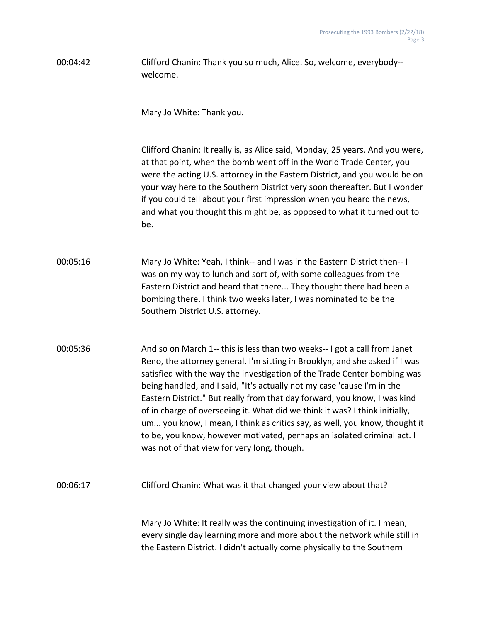00:04:42 Clifford Chanin: Thank you so much, Alice. So, welcome, everybody- welcome.

Mary Jo White: Thank you.

Clifford Chanin: It really is, as Alice said, Monday, 25 years. And you were, at that point, when the bomb went off in the World Trade Center, you were the acting U.S. attorney in the Eastern District, and you would be on your way here to the Southern District very soon thereafter. But I wonder if you could tell about your first impression when you heard the news, and what you thought this might be, as opposed to what it turned out to be.

00:05:16 Mary Jo White: Yeah, I think-- and I was in the Eastern District then-- I was on my way to lunch and sort of, with some colleagues from the Eastern District and heard that there... They thought there had been a bombing there. I think two weeks later, I was nominated to be the Southern District U.S. attorney.

00:05:36 And so on March 1-- this is less than two weeks-- I got a call from Janet Reno, the attorney general. I'm sitting in Brooklyn, and she asked if I was satisfied with the way the investigation of the Trade Center bombing was being handled, and I said, "It's actually not my case 'cause I'm in the Eastern District." But really from that day forward, you know, I was kind of in charge of overseeing it. What did we think it was? I think initially, um... you know, I mean, I think as critics say, as well, you know, thought it to be, you know, however motivated, perhaps an isolated criminal act. I was not of that view for very long, though.

00:06:17 Clifford Chanin: What was it that changed your view about that?

Mary Jo White: It really was the continuing investigation of it. I mean, every single day learning more and more about the network while still in the Eastern District. I didn't actually come physically to the Southern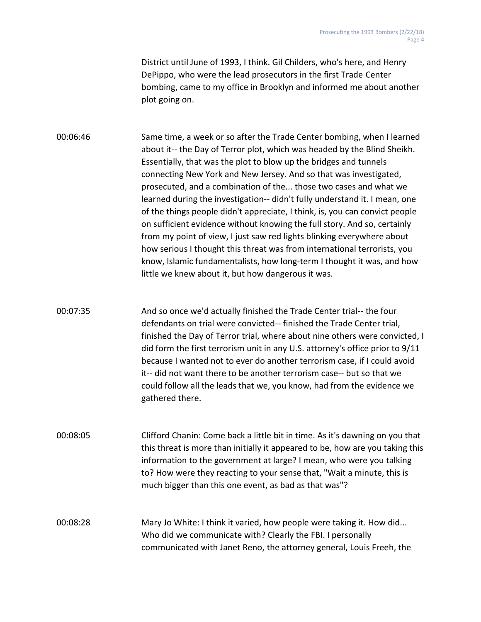District until June of 1993, I think. Gil Childers, who's here, and Henry DePippo, who were the lead prosecutors in the first Trade Center bombing, came to my office in Brooklyn and informed me about another plot going on.

00:06:46 Same time, a week or so after the Trade Center bombing, when I learned about it-- the Day of Terror plot, which was headed by the Blind Sheikh. Essentially, that was the plot to blow up the bridges and tunnels connecting New York and New Jersey. And so that was investigated, prosecuted, and a combination of the... those two cases and what we learned during the investigation-- didn't fully understand it. I mean, one of the things people didn't appreciate, I think, is, you can convict people on sufficient evidence without knowing the full story. And so, certainly from my point of view, I just saw red lights blinking everywhere about how serious I thought this threat was from international terrorists, you know, Islamic fundamentalists, how long-term I thought it was, and how little we knew about it, but how dangerous it was.

00:07:35 And so once we'd actually finished the Trade Center trial-- the four defendants on trial were convicted-- finished the Trade Center trial, finished the Day of Terror trial, where about nine others were convicted, I did form the first terrorism unit in any U.S. attorney's office prior to 9/11 because I wanted not to ever do another terrorism case, if I could avoid it-- did not want there to be another terrorism case-- but so that we could follow all the leads that we, you know, had from the evidence we gathered there.

00:08:05 Clifford Chanin: Come back a little bit in time. As it's dawning on you that this threat is more than initially it appeared to be, how are you taking this information to the government at large? I mean, who were you talking to? How were they reacting to your sense that, "Wait a minute, this is much bigger than this one event, as bad as that was"?

00:08:28 Mary Jo White: I think it varied, how people were taking it. How did... Who did we communicate with? Clearly the FBI. I personally communicated with Janet Reno, the attorney general, Louis Freeh, the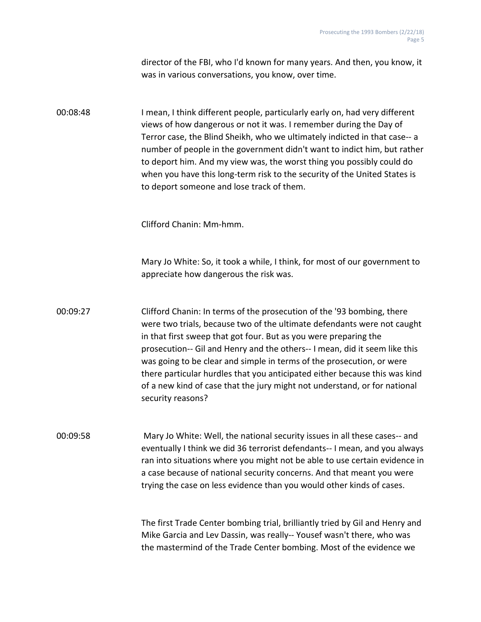director of the FBI, who I'd known for many years. And then, you know, it was in various conversations, you know, over time.

00:08:48 I mean, I think different people, particularly early on, had very different views of how dangerous or not it was. I remember during the Day of Terror case, the Blind Sheikh, who we ultimately indicted in that case-- a number of people in the government didn't want to indict him, but rather to deport him. And my view was, the worst thing you possibly could do when you have this long-term risk to the security of the United States is to deport someone and lose track of them.

Clifford Chanin: Mm-hmm.

Mary Jo White: So, it took a while, I think, for most of our government to appreciate how dangerous the risk was.

00:09:27 Clifford Chanin: In terms of the prosecution of the '93 bombing, there were two trials, because two of the ultimate defendants were not caught in that first sweep that got four. But as you were preparing the prosecution-- Gil and Henry and the others-- I mean, did it seem like this was going to be clear and simple in terms of the prosecution, or were there particular hurdles that you anticipated either because this was kind of a new kind of case that the jury might not understand, or for national security reasons?

00:09:58 Mary Jo White: Well, the national security issues in all these cases-- and eventually I think we did 36 terrorist defendants-- I mean, and you always ran into situations where you might not be able to use certain evidence in a case because of national security concerns. And that meant you were trying the case on less evidence than you would other kinds of cases.

> The first Trade Center bombing trial, brilliantly tried by Gil and Henry and Mike Garcia and Lev Dassin, was really-- Yousef wasn't there, who was the mastermind of the Trade Center bombing. Most of the evidence we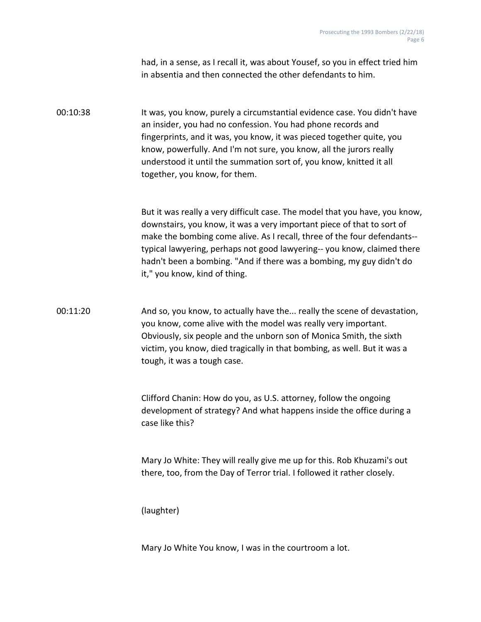had, in a sense, as I recall it, was about Yousef, so you in effect tried him in absentia and then connected the other defendants to him.

# 00:10:38 It was, you know, purely a circumstantial evidence case. You didn't have an insider, you had no confession. You had phone records and fingerprints, and it was, you know, it was pieced together quite, you know, powerfully. And I'm not sure, you know, all the jurors really understood it until the summation sort of, you know, knitted it all together, you know, for them.

But it was really a very difficult case. The model that you have, you know, downstairs, you know, it was a very important piece of that to sort of make the bombing come alive. As I recall, three of the four defendants- typical lawyering, perhaps not good lawyering-- you know, claimed there hadn't been a bombing. "And if there was a bombing, my guy didn't do it," you know, kind of thing.

# 00:11:20 And so, you know, to actually have the... really the scene of devastation, you know, come alive with the model was really very important. Obviously, six people and the unborn son of Monica Smith, the sixth victim, you know, died tragically in that bombing, as well. But it was a tough, it was a tough case.

Clifford Chanin: How do you, as U.S. attorney, follow the ongoing development of strategy? And what happens inside the office during a case like this?

Mary Jo White: They will really give me up for this. Rob Khuzami's out there, too, from the Day of Terror trial. I followed it rather closely.

(laughter)

Mary Jo White You know, I was in the courtroom a lot.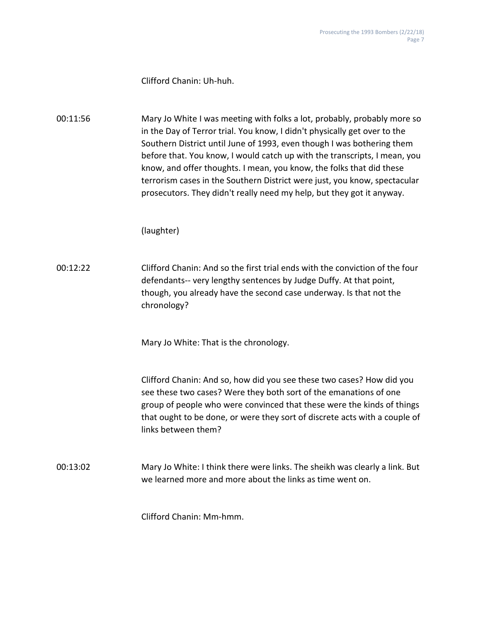#### Clifford Chanin: Uh-huh.

00:11:56 Mary Jo White I was meeting with folks a lot, probably, probably more so in the Day of Terror trial. You know, I didn't physically get over to the Southern District until June of 1993, even though I was bothering them before that. You know, I would catch up with the transcripts, I mean, you know, and offer thoughts. I mean, you know, the folks that did these terrorism cases in the Southern District were just, you know, spectacular prosecutors. They didn't really need my help, but they got it anyway.

#### (laughter)

00:12:22 Clifford Chanin: And so the first trial ends with the conviction of the four defendants-- very lengthy sentences by Judge Duffy. At that point, though, you already have the second case underway. Is that not the chronology?

Mary Jo White: That is the chronology.

Clifford Chanin: And so, how did you see these two cases? How did you see these two cases? Were they both sort of the emanations of one group of people who were convinced that these were the kinds of things that ought to be done, or were they sort of discrete acts with a couple of links between them?

00:13:02 Mary Jo White: I think there were links. The sheikh was clearly a link. But we learned more and more about the links as time went on.

Clifford Chanin: Mm-hmm.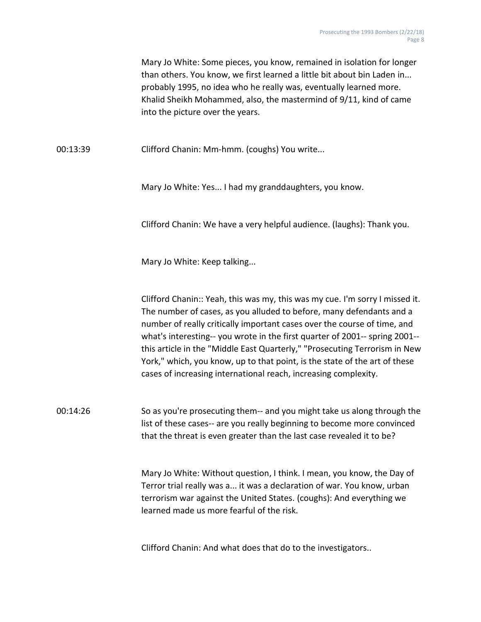Mary Jo White: Some pieces, you know, remained in isolation for longer than others. You know, we first learned a little bit about bin Laden in... probably 1995, no idea who he really was, eventually learned more. Khalid Sheikh Mohammed, also, the mastermind of 9/11, kind of came into the picture over the years.

00:13:39 Clifford Chanin: Mm-hmm. (coughs) You write...

Mary Jo White: Yes... I had my granddaughters, you know.

Clifford Chanin: We have a very helpful audience. (laughs): Thank you.

Mary Jo White: Keep talking...

Clifford Chanin:: Yeah, this was my, this was my cue. I'm sorry I missed it. The number of cases, as you alluded to before, many defendants and a number of really critically important cases over the course of time, and what's interesting-- you wrote in the first quarter of 2001-- spring 2001- this article in the "Middle East Quarterly," "Prosecuting Terrorism in New York," which, you know, up to that point, is the state of the art of these cases of increasing international reach, increasing complexity.

00:14:26 So as you're prosecuting them-- and you might take us along through the list of these cases-- are you really beginning to become more convinced that the threat is even greater than the last case revealed it to be?

> Mary Jo White: Without question, I think. I mean, you know, the Day of Terror trial really was a... it was a declaration of war. You know, urban terrorism war against the United States. (coughs): And everything we learned made us more fearful of the risk.

Clifford Chanin: And what does that do to the investigators..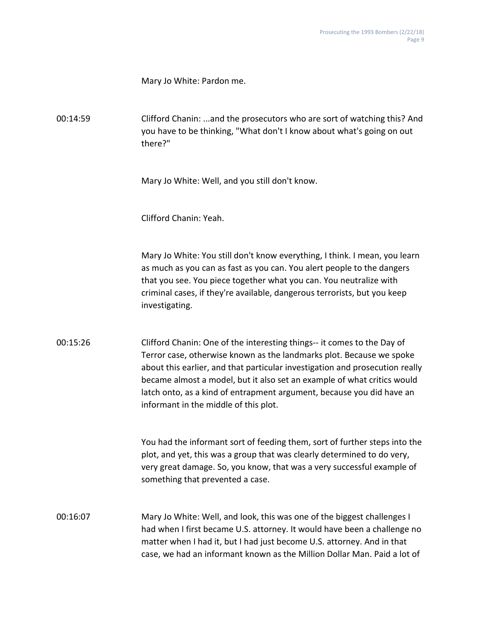Mary Jo White: Pardon me.

00:14:59 Clifford Chanin: ...and the prosecutors who are sort of watching this? And you have to be thinking, "What don't I know about what's going on out there?"

Mary Jo White: Well, and you still don't know.

Clifford Chanin: Yeah.

Mary Jo White: You still don't know everything, I think. I mean, you learn as much as you can as fast as you can. You alert people to the dangers that you see. You piece together what you can. You neutralize with criminal cases, if they're available, dangerous terrorists, but you keep investigating.

00:15:26 Clifford Chanin: One of the interesting things-- it comes to the Day of Terror case, otherwise known as the landmarks plot. Because we spoke about this earlier, and that particular investigation and prosecution really became almost a model, but it also set an example of what critics would latch onto, as a kind of entrapment argument, because you did have an informant in the middle of this plot.

> You had the informant sort of feeding them, sort of further steps into the plot, and yet, this was a group that was clearly determined to do very, very great damage. So, you know, that was a very successful example of something that prevented a case.

00:16:07 Mary Jo White: Well, and look, this was one of the biggest challenges I had when I first became U.S. attorney. It would have been a challenge no matter when I had it, but I had just become U.S. attorney. And in that case, we had an informant known as the Million Dollar Man. Paid a lot of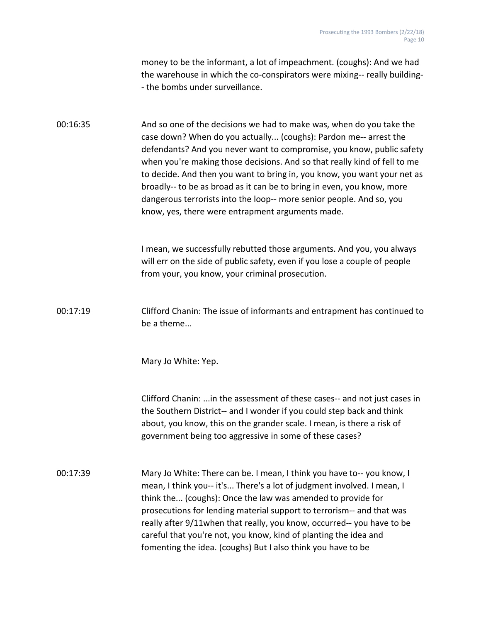money to be the informant, a lot of impeachment. (coughs): And we had the warehouse in which the co-conspirators were mixing-- really building- - the bombs under surveillance.

00:16:35 And so one of the decisions we had to make was, when do you take the case down? When do you actually... (coughs): Pardon me-- arrest the defendants? And you never want to compromise, you know, public safety when you're making those decisions. And so that really kind of fell to me to decide. And then you want to bring in, you know, you want your net as broadly-- to be as broad as it can be to bring in even, you know, more dangerous terrorists into the loop-- more senior people. And so, you know, yes, there were entrapment arguments made.

> I mean, we successfully rebutted those arguments. And you, you always will err on the side of public safety, even if you lose a couple of people from your, you know, your criminal prosecution.

00:17:19 Clifford Chanin: The issue of informants and entrapment has continued to be a theme...

Mary Jo White: Yep.

Clifford Chanin: ...in the assessment of these cases-- and not just cases in the Southern District-- and I wonder if you could step back and think about, you know, this on the grander scale. I mean, is there a risk of government being too aggressive in some of these cases?

00:17:39 Mary Jo White: There can be. I mean, I think you have to-- you know, I mean, I think you-- it's... There's a lot of judgment involved. I mean, I think the... (coughs): Once the law was amended to provide for prosecutions for lending material support to terrorism-- and that was really after 9/11when that really, you know, occurred-- you have to be careful that you're not, you know, kind of planting the idea and fomenting the idea. (coughs) But I also think you have to be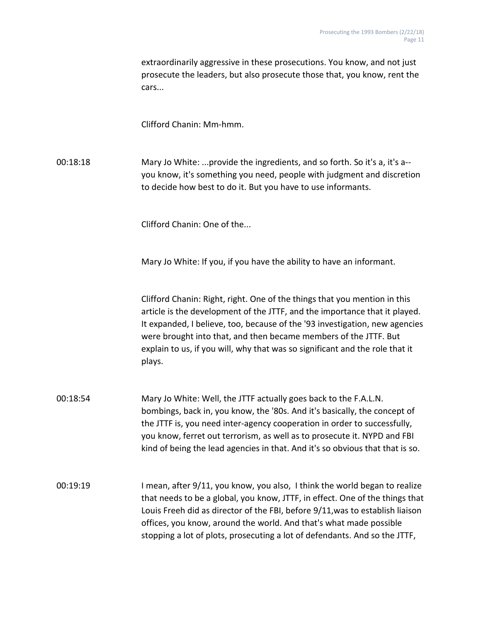extraordinarily aggressive in these prosecutions. You know, and not just prosecute the leaders, but also prosecute those that, you know, rent the cars...

Clifford Chanin: Mm-hmm.

00:18:18 Mary Jo White: ...provide the ingredients, and so forth. So it's a, it's a- you know, it's something you need, people with judgment and discretion to decide how best to do it. But you have to use informants.

Clifford Chanin: One of the...

Mary Jo White: If you, if you have the ability to have an informant.

Clifford Chanin: Right, right. One of the things that you mention in this article is the development of the JTTF, and the importance that it played. It expanded, I believe, too, because of the '93 investigation, new agencies were brought into that, and then became members of the JTTF. But explain to us, if you will, why that was so significant and the role that it plays.

- 00:18:54 Mary Jo White: Well, the JTTF actually goes back to the F.A.L.N. bombings, back in, you know, the '80s. And it's basically, the concept of the JTTF is, you need inter-agency cooperation in order to successfully, you know, ferret out terrorism, as well as to prosecute it. NYPD and FBI kind of being the lead agencies in that. And it's so obvious that that is so.
- 00:19:19 I mean, after 9/11, you know, you also, I think the world began to realize that needs to be a global, you know, JTTF, in effect. One of the things that Louis Freeh did as director of the FBI, before 9/11,was to establish liaison offices, you know, around the world. And that's what made possible stopping a lot of plots, prosecuting a lot of defendants. And so the JTTF,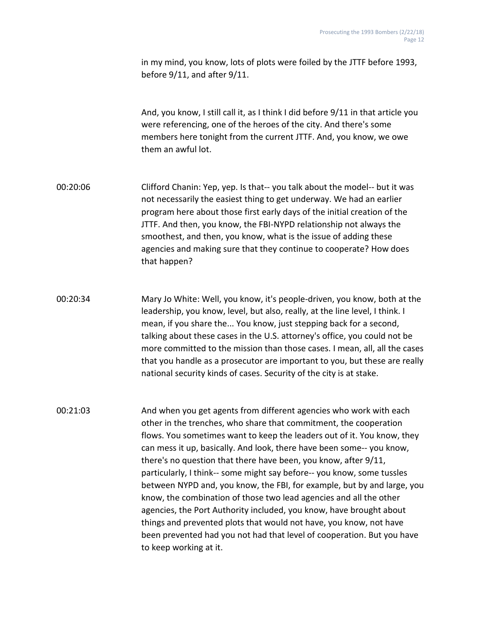in my mind, you know, lots of plots were foiled by the JTTF before 1993, before 9/11, and after 9/11.

And, you know, I still call it, as I think I did before 9/11 in that article you were referencing, one of the heroes of the city. And there's some members here tonight from the current JTTF. And, you know, we owe them an awful lot.

- 00:20:06 Clifford Chanin: Yep, yep. Is that-- you talk about the model-- but it was not necessarily the easiest thing to get underway. We had an earlier program here about those first early days of the initial creation of the JTTF. And then, you know, the FBI-NYPD relationship not always the smoothest, and then, you know, what is the issue of adding these agencies and making sure that they continue to cooperate? How does that happen?
- 00:20:34 Mary Jo White: Well, you know, it's people-driven, you know, both at the leadership, you know, level, but also, really, at the line level, I think. I mean, if you share the... You know, just stepping back for a second, talking about these cases in the U.S. attorney's office, you could not be more committed to the mission than those cases. I mean, all, all the cases that you handle as a prosecutor are important to you, but these are really national security kinds of cases. Security of the city is at stake.
- 00:21:03 And when you get agents from different agencies who work with each other in the trenches, who share that commitment, the cooperation flows. You sometimes want to keep the leaders out of it. You know, they can mess it up, basically. And look, there have been some-- you know, there's no question that there have been, you know, after 9/11, particularly, I think-- some might say before-- you know, some tussles between NYPD and, you know, the FBI, for example, but by and large, you know, the combination of those two lead agencies and all the other agencies, the Port Authority included, you know, have brought about things and prevented plots that would not have, you know, not have been prevented had you not had that level of cooperation. But you have to keep working at it.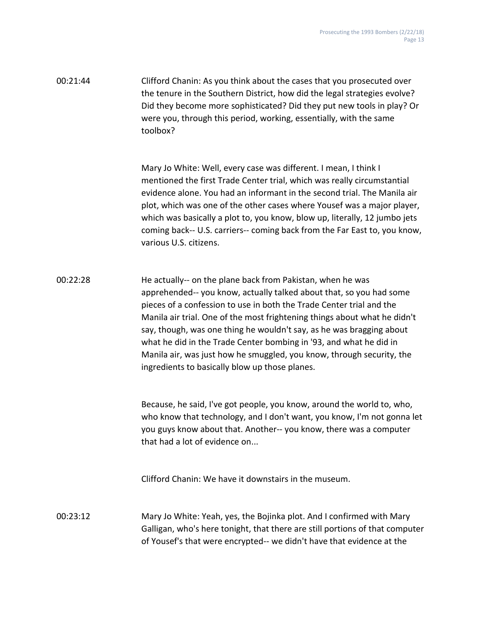00:21:44 Clifford Chanin: As you think about the cases that you prosecuted over the tenure in the Southern District, how did the legal strategies evolve? Did they become more sophisticated? Did they put new tools in play? Or were you, through this period, working, essentially, with the same toolbox?

> Mary Jo White: Well, every case was different. I mean, I think I mentioned the first Trade Center trial, which was really circumstantial evidence alone. You had an informant in the second trial. The Manila air plot, which was one of the other cases where Yousef was a major player, which was basically a plot to, you know, blow up, literally, 12 jumbo jets coming back-- U.S. carriers-- coming back from the Far East to, you know, various U.S. citizens.

00:22:28 He actually-- on the plane back from Pakistan, when he was apprehended-- you know, actually talked about that, so you had some pieces of a confession to use in both the Trade Center trial and the Manila air trial. One of the most frightening things about what he didn't say, though, was one thing he wouldn't say, as he was bragging about what he did in the Trade Center bombing in '93, and what he did in Manila air, was just how he smuggled, you know, through security, the ingredients to basically blow up those planes.

> Because, he said, I've got people, you know, around the world to, who, who know that technology, and I don't want, you know, I'm not gonna let you guys know about that. Another-- you know, there was a computer that had a lot of evidence on...

Clifford Chanin: We have it downstairs in the museum.

00:23:12 Mary Jo White: Yeah, yes, the Bojinka plot. And I confirmed with Mary Galligan, who's here tonight, that there are still portions of that computer of Yousef's that were encrypted-- we didn't have that evidence at the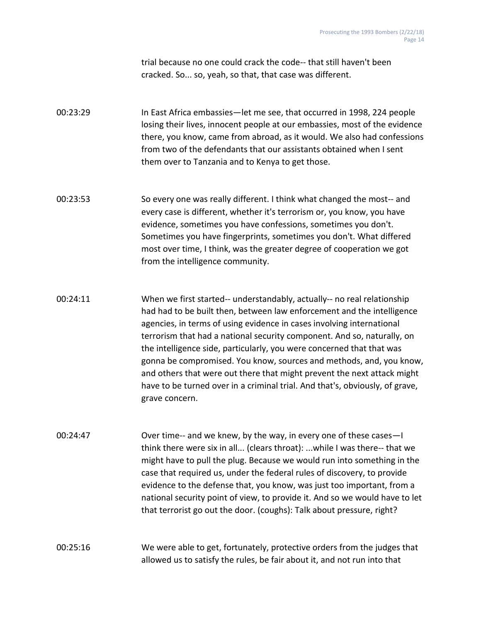trial because no one could crack the code-- that still haven't been cracked. So... so, yeah, so that, that case was different.

00:23:29 In East Africa embassies—let me see, that occurred in 1998, 224 people losing their lives, innocent people at our embassies, most of the evidence there, you know, came from abroad, as it would. We also had confessions from two of the defendants that our assistants obtained when I sent them over to Tanzania and to Kenya to get those.

00:23:53 So every one was really different. I think what changed the most-- and every case is different, whether it's terrorism or, you know, you have evidence, sometimes you have confessions, sometimes you don't. Sometimes you have fingerprints, sometimes you don't. What differed most over time, I think, was the greater degree of cooperation we got from the intelligence community.

00:24:11 When we first started-- understandably, actually-- no real relationship had had to be built then, between law enforcement and the intelligence agencies, in terms of using evidence in cases involving international terrorism that had a national security component. And so, naturally, on the intelligence side, particularly, you were concerned that that was gonna be compromised. You know, sources and methods, and, you know, and others that were out there that might prevent the next attack might have to be turned over in a criminal trial. And that's, obviously, of grave, grave concern.

00:24:47 Over time-- and we knew, by the way, in every one of these cases—I think there were six in all... (clears throat): ...while I was there-- that we might have to pull the plug. Because we would run into something in the case that required us, under the federal rules of discovery, to provide evidence to the defense that, you know, was just too important, from a national security point of view, to provide it. And so we would have to let that terrorist go out the door. (coughs): Talk about pressure, right?

00:25:16 We were able to get, fortunately, protective orders from the judges that allowed us to satisfy the rules, be fair about it, and not run into that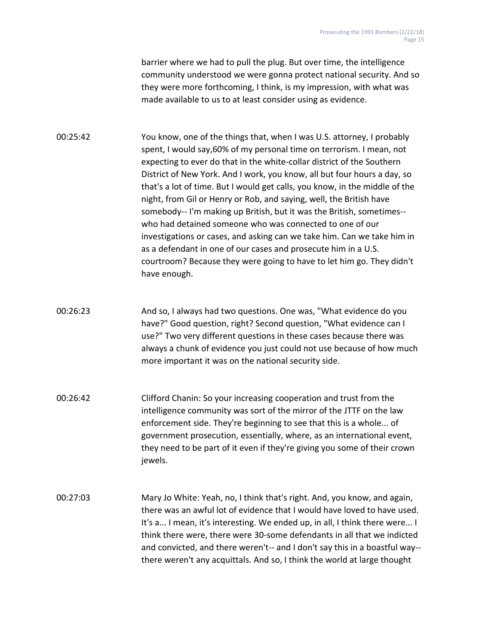barrier where we had to pull the plug. But over time, the intelligence community understood we were gonna protect national security. And so they were more forthcoming, I think, is my impression, with what was made available to us to at least consider using as evidence.

00:25:42 You know, one of the things that, when I was U.S. attorney, I probably spent, I would say,60% of my personal time on terrorism. I mean, not expecting to ever do that in the white-collar district of the Southern District of New York. And I work, you know, all but four hours a day, so that's a lot of time. But I would get calls, you know, in the middle of the night, from Gil or Henry or Rob, and saying, well, the British have somebody-- I'm making up British, but it was the British, sometimes- who had detained someone who was connected to one of our investigations or cases, and asking can we take him. Can we take him in as a defendant in one of our cases and prosecute him in a U.S. courtroom? Because they were going to have to let him go. They didn't have enough.

- 00:26:23 And so, I always had two questions. One was, "What evidence do you have?" Good question, right? Second question, "What evidence can I use?" Two very different questions in these cases because there was always a chunk of evidence you just could not use because of how much more important it was on the national security side.
- 00:26:42 Clifford Chanin: So your increasing cooperation and trust from the intelligence community was sort of the mirror of the JTTF on the law enforcement side. They're beginning to see that this is a whole... of government prosecution, essentially, where, as an international event, they need to be part of it even if they're giving you some of their crown jewels.
- 00:27:03 Mary Jo White: Yeah, no, I think that's right. And, you know, and again, there was an awful lot of evidence that I would have loved to have used. It's a... I mean, it's interesting. We ended up, in all, I think there were... I think there were, there were 30-some defendants in all that we indicted and convicted, and there weren't-- and I don't say this in a boastful way- there weren't any acquittals. And so, I think the world at large thought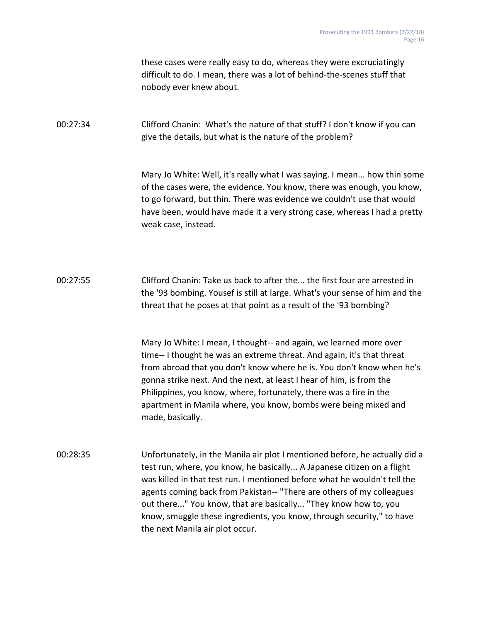these cases were really easy to do, whereas they were excruciatingly difficult to do. I mean, there was a lot of behind-the-scenes stuff that nobody ever knew about.

00:27:34 Clifford Chanin: What's the nature of that stuff? I don't know if you can give the details, but what is the nature of the problem?

> Mary Jo White: Well, it's really what I was saying. I mean... how thin some of the cases were, the evidence. You know, there was enough, you know, to go forward, but thin. There was evidence we couldn't use that would have been, would have made it a very strong case, whereas I had a pretty weak case, instead.

00:27:55 Clifford Chanin: Take us back to after the... the first four are arrested in the '93 bombing. Yousef is still at large. What's your sense of him and the threat that he poses at that point as a result of the '93 bombing?

> Mary Jo White: I mean, I thought-- and again, we learned more over time-- I thought he was an extreme threat. And again, it's that threat from abroad that you don't know where he is. You don't know when he's gonna strike next. And the next, at least I hear of him, is from the Philippines, you know, where, fortunately, there was a fire in the apartment in Manila where, you know, bombs were being mixed and made, basically.

00:28:35 Unfortunately, in the Manila air plot I mentioned before, he actually did a test run, where, you know, he basically... A Japanese citizen on a flight was killed in that test run. I mentioned before what he wouldn't tell the agents coming back from Pakistan-- "There are others of my colleagues out there..." You know, that are basically... "They know how to, you know, smuggle these ingredients, you know, through security," to have the next Manila air plot occur.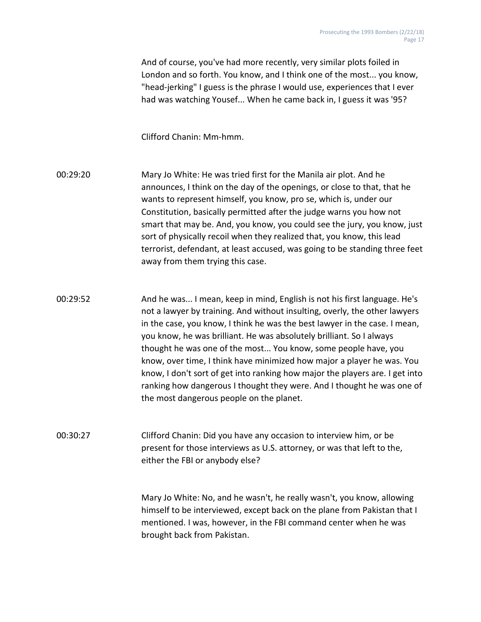And of course, you've had more recently, very similar plots foiled in London and so forth. You know, and I think one of the most... you know, "head-jerking" I guess is the phrase I would use, experiences that I ever had was watching Yousef... When he came back in, I guess it was '95?

Clifford Chanin: Mm-hmm.

00:29:20 Mary Jo White: He was tried first for the Manila air plot. And he announces, I think on the day of the openings, or close to that, that he wants to represent himself, you know, pro se, which is, under our Constitution, basically permitted after the judge warns you how not smart that may be. And, you know, you could see the jury, you know, just sort of physically recoil when they realized that, you know, this lead terrorist, defendant, at least accused, was going to be standing three feet away from them trying this case.

00:29:52 And he was... I mean, keep in mind, English is not his first language. He's not a lawyer by training. And without insulting, overly, the other lawyers in the case, you know, I think he was the best lawyer in the case. I mean, you know, he was brilliant. He was absolutely brilliant. So I always thought he was one of the most... You know, some people have, you know, over time, I think have minimized how major a player he was. You know, I don't sort of get into ranking how major the players are. I get into ranking how dangerous I thought they were. And I thought he was one of the most dangerous people on the planet.

00:30:27 Clifford Chanin: Did you have any occasion to interview him, or be present for those interviews as U.S. attorney, or was that left to the, either the FBI or anybody else?

> Mary Jo White: No, and he wasn't, he really wasn't, you know, allowing himself to be interviewed, except back on the plane from Pakistan that I mentioned. I was, however, in the FBI command center when he was brought back from Pakistan.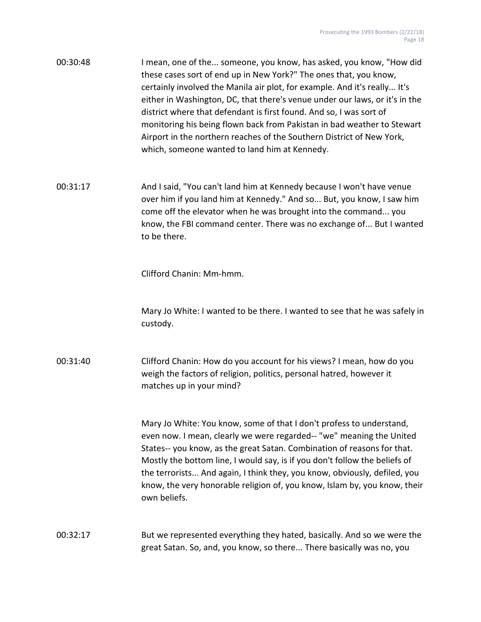| 00:30:48 | I mean, one of the someone, you know, has asked, you know, "How did         |
|----------|-----------------------------------------------------------------------------|
|          | these cases sort of end up in New York?" The ones that, you know,           |
|          | certainly involved the Manila air plot, for example. And it's really It's   |
|          | either in Washington, DC, that there's venue under our laws, or it's in the |
|          | district where that defendant is first found. And so, I was sort of         |
|          | monitoring his being flown back from Pakistan in bad weather to Stewart     |
|          | Airport in the northern reaches of the Southern District of New York,       |
|          | which, someone wanted to land him at Kennedy.                               |

00:31:17 And I said, "You can't land him at Kennedy because I won't have venue over him if you land him at Kennedy." And so... But, you know, I saw him come off the elevator when he was brought into the command... you know, the FBI command center. There was no exchange of... But I wanted to be there.

Clifford Chanin: Mm-hmm.

Mary Jo White: I wanted to be there. I wanted to see that he was safely in custody.

00:31:40 Clifford Chanin: How do you account for his views? I mean, how do you weigh the factors of religion, politics, personal hatred, however it matches up in your mind?

> Mary Jo White: You know, some of that I don't profess to understand, even now. I mean, clearly we were regarded-- "we" meaning the United States-- you know, as the great Satan. Combination of reasons for that. Mostly the bottom line, I would say, is if you don't follow the beliefs of the terrorists... And again, I think they, you know, obviously, defiled, you know, the very honorable religion of, you know, Islam by, you know, their own beliefs.

00:32:17 But we represented everything they hated, basically. And so we were the great Satan. So, and, you know, so there... There basically was no, you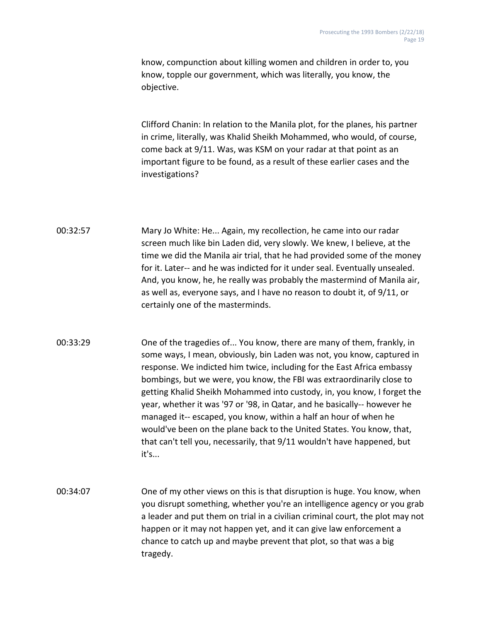know, compunction about killing women and children in order to, you know, topple our government, which was literally, you know, the objective.

Clifford Chanin: In relation to the Manila plot, for the planes, his partner in crime, literally, was Khalid Sheikh Mohammed, who would, of course, come back at 9/11. Was, was KSM on your radar at that point as an important figure to be found, as a result of these earlier cases and the investigations?

00:32:57 Mary Jo White: He... Again, my recollection, he came into our radar screen much like bin Laden did, very slowly. We knew, I believe, at the time we did the Manila air trial, that he had provided some of the money for it. Later-- and he was indicted for it under seal. Eventually unsealed. And, you know, he, he really was probably the mastermind of Manila air, as well as, everyone says, and I have no reason to doubt it, of 9/11, or certainly one of the masterminds.

00:33:29 One of the tragedies of... You know, there are many of them, frankly, in some ways, I mean, obviously, bin Laden was not, you know, captured in response. We indicted him twice, including for the East Africa embassy bombings, but we were, you know, the FBI was extraordinarily close to getting Khalid Sheikh Mohammed into custody, in, you know, I forget the year, whether it was '97 or '98, in Qatar, and he basically-- however he managed it-- escaped, you know, within a half an hour of when he would've been on the plane back to the United States. You know, that, that can't tell you, necessarily, that 9/11 wouldn't have happened, but it's...

00:34:07 One of my other views on this is that disruption is huge. You know, when you disrupt something, whether you're an intelligence agency or you grab a leader and put them on trial in a civilian criminal court, the plot may not happen or it may not happen yet, and it can give law enforcement a chance to catch up and maybe prevent that plot, so that was a big tragedy.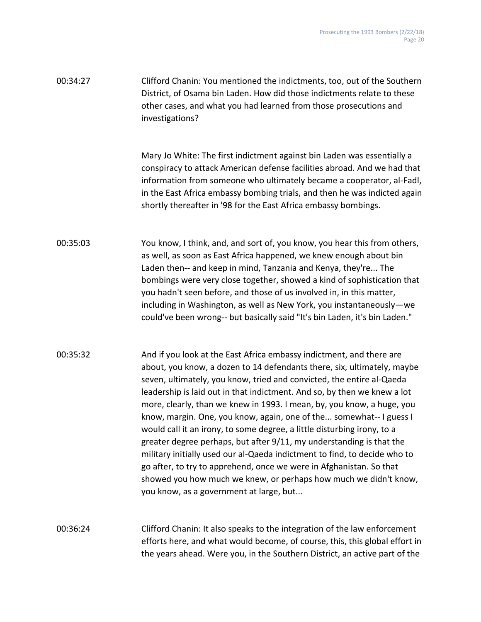| 00:34:27 | Clifford Chanin: You mentioned the indictments, too, out of the Southern |
|----------|--------------------------------------------------------------------------|
|          | District, of Osama bin Laden. How did those indictments relate to these  |
|          | other cases, and what you had learned from those prosecutions and        |
|          | investigations?                                                          |

Mary Jo White: The first indictment against bin Laden was essentially a conspiracy to attack American defense facilities abroad. And we had that information from someone who ultimately became a cooperator, al-Fadl, in the East Africa embassy bombing trials, and then he was indicted again shortly thereafter in '98 for the East Africa embassy bombings.

- 00:35:03 You know, I think, and, and sort of, you know, you hear this from others, as well, as soon as East Africa happened, we knew enough about bin Laden then-- and keep in mind, Tanzania and Kenya, they're... The bombings were very close together, showed a kind of sophistication that you hadn't seen before, and those of us involved in, in this matter, including in Washington, as well as New York, you instantaneously—we could've been wrong-- but basically said "It's bin Laden, it's bin Laden."
- 00:35:32 And if you look at the East Africa embassy indictment, and there are about, you know, a dozen to 14 defendants there, six, ultimately, maybe seven, ultimately, you know, tried and convicted, the entire al-Qaeda leadership is laid out in that indictment. And so, by then we knew a lot more, clearly, than we knew in 1993. I mean, by, you know, a huge, you know, margin. One, you know, again, one of the... somewhat-- I guess I would call it an irony, to some degree, a little disturbing irony, to a greater degree perhaps, but after 9/11, my understanding is that the military initially used our al-Qaeda indictment to find, to decide who to go after, to try to apprehend, once we were in Afghanistan. So that showed you how much we knew, or perhaps how much we didn't know, you know, as a government at large, but...

00:36:24 Clifford Chanin: It also speaks to the integration of the law enforcement efforts here, and what would become, of course, this, this global effort in the years ahead. Were you, in the Southern District, an active part of the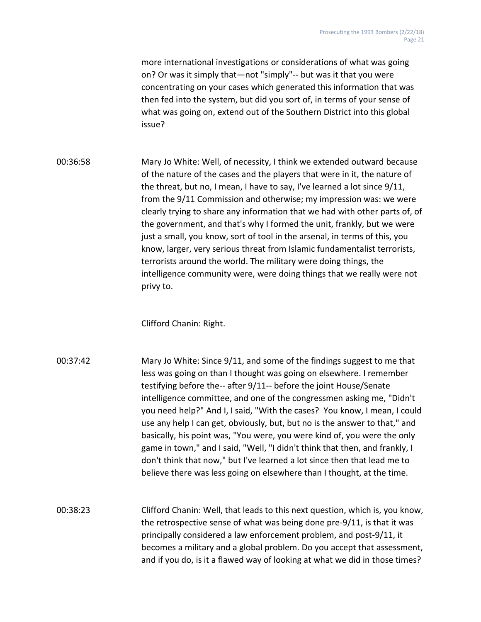more international investigations or considerations of what was going on? Or was it simply that—not "simply"-- but was it that you were concentrating on your cases which generated this information that was then fed into the system, but did you sort of, in terms of your sense of what was going on, extend out of the Southern District into this global issue?

00:36:58 Mary Jo White: Well, of necessity, I think we extended outward because of the nature of the cases and the players that were in it, the nature of the threat, but no, I mean, I have to say, I've learned a lot since 9/11, from the 9/11 Commission and otherwise; my impression was: we were clearly trying to share any information that we had with other parts of, of the government, and that's why I formed the unit, frankly, but we were just a small, you know, sort of tool in the arsenal, in terms of this, you know, larger, very serious threat from Islamic fundamentalist terrorists, terrorists around the world. The military were doing things, the intelligence community were, were doing things that we really were not privy to.

Clifford Chanin: Right.

- 00:37:42 Mary Jo White: Since 9/11, and some of the findings suggest to me that less was going on than I thought was going on elsewhere. I remember testifying before the-- after 9/11-- before the joint House/Senate intelligence committee, and one of the congressmen asking me, "Didn't you need help?" And I, I said, "With the cases? You know, I mean, I could use any help I can get, obviously, but, but no is the answer to that," and basically, his point was, "You were, you were kind of, you were the only game in town," and I said, "Well, "I didn't think that then, and frankly, I don't think that now," but I've learned a lot since then that lead me to believe there was less going on elsewhere than I thought, at the time.
- 00:38:23 Clifford Chanin: Well, that leads to this next question, which is, you know, the retrospective sense of what was being done pre-9/11, is that it was principally considered a law enforcement problem, and post-9/11, it becomes a military and a global problem. Do you accept that assessment, and if you do, is it a flawed way of looking at what we did in those times?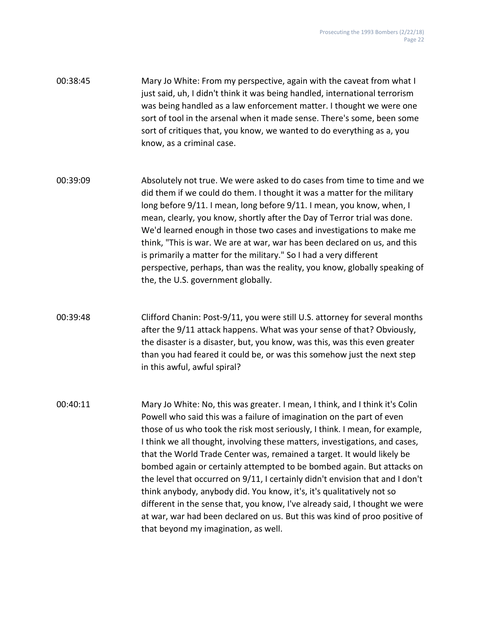| 00:38:45 | Mary Jo White: From my perspective, again with the caveat from what I       |
|----------|-----------------------------------------------------------------------------|
|          | just said, uh, I didn't think it was being handled, international terrorism |
|          | was being handled as a law enforcement matter. I thought we were one        |
|          | sort of tool in the arsenal when it made sense. There's some, been some     |
|          | sort of critiques that, you know, we wanted to do everything as a, you      |
|          | know, as a criminal case.                                                   |

00:39:09 Absolutely not true. We were asked to do cases from time to time and we did them if we could do them. I thought it was a matter for the military long before 9/11. I mean, long before 9/11. I mean, you know, when, I mean, clearly, you know, shortly after the Day of Terror trial was done. We'd learned enough in those two cases and investigations to make me think, "This is war. We are at war, war has been declared on us, and this is primarily a matter for the military." So I had a very different perspective, perhaps, than was the reality, you know, globally speaking of the, the U.S. government globally.

00:39:48 Clifford Chanin: Post-9/11, you were still U.S. attorney for several months after the 9/11 attack happens. What was your sense of that? Obviously, the disaster is a disaster, but, you know, was this, was this even greater than you had feared it could be, or was this somehow just the next step in this awful, awful spiral?

00:40:11 Mary Jo White: No, this was greater. I mean, I think, and I think it's Colin Powell who said this was a failure of imagination on the part of even those of us who took the risk most seriously, I think. I mean, for example, I think we all thought, involving these matters, investigations, and cases, that the World Trade Center was, remained a target. It would likely be bombed again or certainly attempted to be bombed again. But attacks on the level that occurred on 9/11, I certainly didn't envision that and I don't think anybody, anybody did. You know, it's, it's qualitatively not so different in the sense that, you know, I've already said, I thought we were at war, war had been declared on us. But this was kind of proo positive of that beyond my imagination, as well.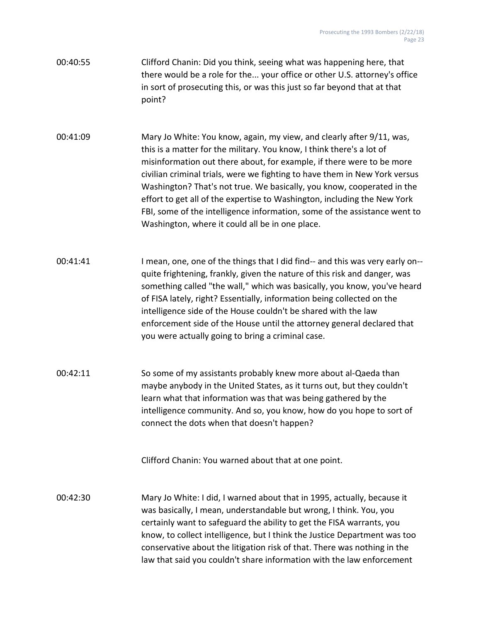- 00:40:55 Clifford Chanin: Did you think, seeing what was happening here, that there would be a role for the... your office or other U.S. attorney's office in sort of prosecuting this, or was this just so far beyond that at that point?
- 00:41:09 Mary Jo White: You know, again, my view, and clearly after 9/11, was, this is a matter for the military. You know, I think there's a lot of misinformation out there about, for example, if there were to be more civilian criminal trials, were we fighting to have them in New York versus Washington? That's not true. We basically, you know, cooperated in the effort to get all of the expertise to Washington, including the New York FBI, some of the intelligence information, some of the assistance went to Washington, where it could all be in one place.
- 00:41:41 I mean, one, one of the things that I did find-- and this was very early on- quite frightening, frankly, given the nature of this risk and danger, was something called "the wall," which was basically, you know, you've heard of FISA lately, right? Essentially, information being collected on the intelligence side of the House couldn't be shared with the law enforcement side of the House until the attorney general declared that you were actually going to bring a criminal case.
- 00:42:11 So some of my assistants probably knew more about al-Qaeda than maybe anybody in the United States, as it turns out, but they couldn't learn what that information was that was being gathered by the intelligence community. And so, you know, how do you hope to sort of connect the dots when that doesn't happen?

Clifford Chanin: You warned about that at one point.

00:42:30 Mary Jo White: I did, I warned about that in 1995, actually, because it was basically, I mean, understandable but wrong, I think. You, you certainly want to safeguard the ability to get the FISA warrants, you know, to collect intelligence, but I think the Justice Department was too conservative about the litigation risk of that. There was nothing in the law that said you couldn't share information with the law enforcement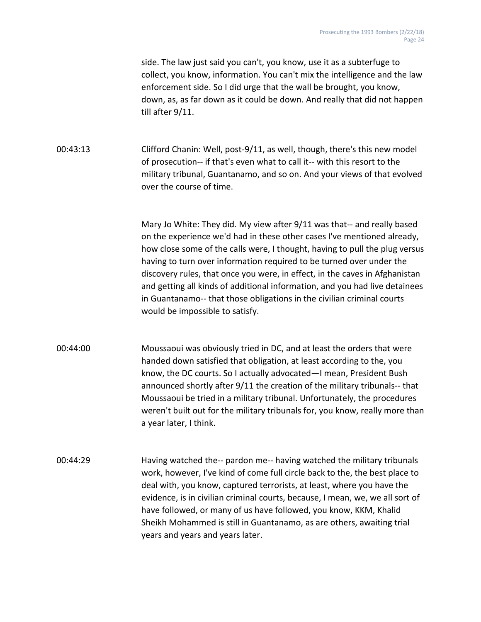side. The law just said you can't, you know, use it as a subterfuge to collect, you know, information. You can't mix the intelligence and the law enforcement side. So I did urge that the wall be brought, you know, down, as, as far down as it could be down. And really that did not happen till after 9/11.

00:43:13 Clifford Chanin: Well, post-9/11, as well, though, there's this new model of prosecution-- if that's even what to call it-- with this resort to the military tribunal, Guantanamo, and so on. And your views of that evolved over the course of time.

> Mary Jo White: They did. My view after 9/11 was that-- and really based on the experience we'd had in these other cases I've mentioned already, how close some of the calls were, I thought, having to pull the plug versus having to turn over information required to be turned over under the discovery rules, that once you were, in effect, in the caves in Afghanistan and getting all kinds of additional information, and you had live detainees in Guantanamo-- that those obligations in the civilian criminal courts would be impossible to satisfy.

00:44:00 Moussaoui was obviously tried in DC, and at least the orders that were handed down satisfied that obligation, at least according to the, you know, the DC courts. So I actually advocated—I mean, President Bush announced shortly after 9/11 the creation of the military tribunals-- that Moussaoui be tried in a military tribunal. Unfortunately, the procedures weren't built out for the military tribunals for, you know, really more than a year later, I think.

00:44:29 Having watched the-- pardon me-- having watched the military tribunals work, however, I've kind of come full circle back to the, the best place to deal with, you know, captured terrorists, at least, where you have the evidence, is in civilian criminal courts, because, I mean, we, we all sort of have followed, or many of us have followed, you know, KKM, Khalid Sheikh Mohammed is still in Guantanamo, as are others, awaiting trial years and years and years later.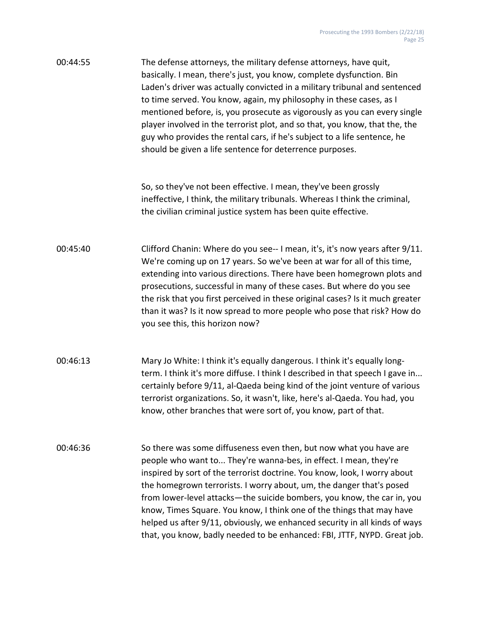| 00:44:55 | The defense attorneys, the military defense attorneys, have quit,           |
|----------|-----------------------------------------------------------------------------|
|          | basically. I mean, there's just, you know, complete dysfunction. Bin        |
|          | Laden's driver was actually convicted in a military tribunal and sentenced  |
|          | to time served. You know, again, my philosophy in these cases, as I         |
|          | mentioned before, is, you prosecute as vigorously as you can every single   |
|          | player involved in the terrorist plot, and so that, you know, that the, the |
|          | guy who provides the rental cars, if he's subject to a life sentence, he    |
|          | should be given a life sentence for deterrence purposes.                    |

So, so they've not been effective. I mean, they've been grossly ineffective, I think, the military tribunals. Whereas I think the criminal, the civilian criminal justice system has been quite effective.

00:45:40 Clifford Chanin: Where do you see-- I mean, it's, it's now years after 9/11. We're coming up on 17 years. So we've been at war for all of this time, extending into various directions. There have been homegrown plots and prosecutions, successful in many of these cases. But where do you see the risk that you first perceived in these original cases? Is it much greater than it was? Is it now spread to more people who pose that risk? How do you see this, this horizon now?

00:46:13 Mary Jo White: I think it's equally dangerous. I think it's equally longterm. I think it's more diffuse. I think I described in that speech I gave in... certainly before 9/11, al-Qaeda being kind of the joint venture of various terrorist organizations. So, it wasn't, like, here's al-Qaeda. You had, you know, other branches that were sort of, you know, part of that.

00:46:36 So there was some diffuseness even then, but now what you have are people who want to... They're wanna-bes, in effect. I mean, they're inspired by sort of the terrorist doctrine. You know, look, I worry about the homegrown terrorists. I worry about, um, the danger that's posed from lower-level attacks—the suicide bombers, you know, the car in, you know, Times Square. You know, I think one of the things that may have helped us after 9/11, obviously, we enhanced security in all kinds of ways that, you know, badly needed to be enhanced: FBI, JTTF, NYPD. Great job.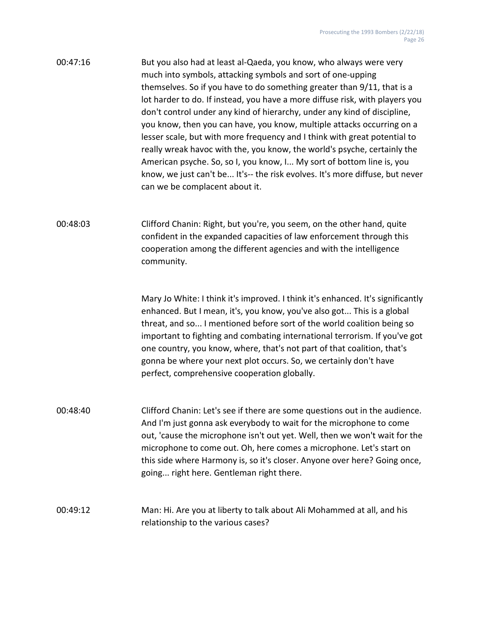| 00:47:16 | But you also had at least al-Qaeda, you know, who always were very           |
|----------|------------------------------------------------------------------------------|
|          | much into symbols, attacking symbols and sort of one-upping                  |
|          | themselves. So if you have to do something greater than 9/11, that is a      |
|          | lot harder to do. If instead, you have a more diffuse risk, with players you |
|          | don't control under any kind of hierarchy, under any kind of discipline,     |
|          | you know, then you can have, you know, multiple attacks occurring on a       |
|          | lesser scale, but with more frequency and I think with great potential to    |
|          | really wreak havoc with the, you know, the world's psyche, certainly the     |
|          | American psyche. So, so I, you know, I My sort of bottom line is, you        |
|          | know, we just can't be It's-- the risk evolves. It's more diffuse, but never |
|          | can we be complacent about it.                                               |

00:48:03 Clifford Chanin: Right, but you're, you seem, on the other hand, quite confident in the expanded capacities of law enforcement through this cooperation among the different agencies and with the intelligence community.

> Mary Jo White: I think it's improved. I think it's enhanced. It's significantly enhanced. But I mean, it's, you know, you've also got... This is a global threat, and so... I mentioned before sort of the world coalition being so important to fighting and combating international terrorism. If you've got one country, you know, where, that's not part of that coalition, that's gonna be where your next plot occurs. So, we certainly don't have perfect, comprehensive cooperation globally.

00:48:40 Clifford Chanin: Let's see if there are some questions out in the audience. And I'm just gonna ask everybody to wait for the microphone to come out, 'cause the microphone isn't out yet. Well, then we won't wait for the microphone to come out. Oh, here comes a microphone. Let's start on this side where Harmony is, so it's closer. Anyone over here? Going once, going... right here. Gentleman right there.

### 00:49:12 Man: Hi. Are you at liberty to talk about Ali Mohammed at all, and his relationship to the various cases?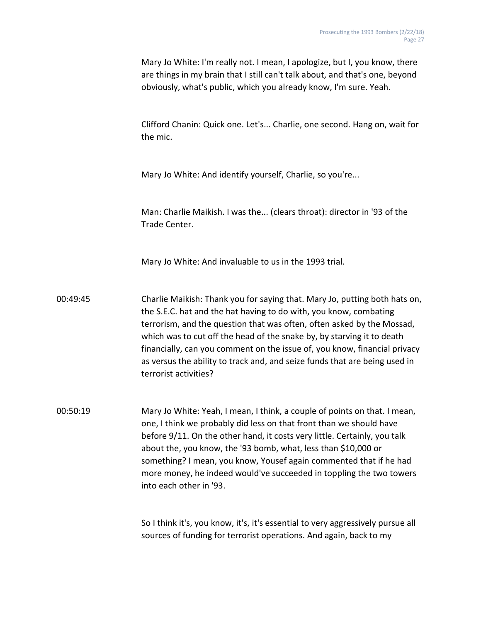Mary Jo White: I'm really not. I mean, I apologize, but I, you know, there are things in my brain that I still can't talk about, and that's one, beyond obviously, what's public, which you already know, I'm sure. Yeah.

Clifford Chanin: Quick one. Let's... Charlie, one second. Hang on, wait for the mic.

Mary Jo White: And identify yourself, Charlie, so you're...

Man: Charlie Maikish. I was the... (clears throat): director in '93 of the Trade Center.

Mary Jo White: And invaluable to us in the 1993 trial.

00:49:45 Charlie Maikish: Thank you for saying that. Mary Jo, putting both hats on, the S.E.C. hat and the hat having to do with, you know, combating terrorism, and the question that was often, often asked by the Mossad, which was to cut off the head of the snake by, by starving it to death financially, can you comment on the issue of, you know, financial privacy as versus the ability to track and, and seize funds that are being used in terrorist activities?

00:50:19 Mary Jo White: Yeah, I mean, I think, a couple of points on that. I mean, one, I think we probably did less on that front than we should have before 9/11. On the other hand, it costs very little. Certainly, you talk about the, you know, the '93 bomb, what, less than \$10,000 or something? I mean, you know, Yousef again commented that if he had more money, he indeed would've succeeded in toppling the two towers into each other in '93.

> So I think it's, you know, it's, it's essential to very aggressively pursue all sources of funding for terrorist operations. And again, back to my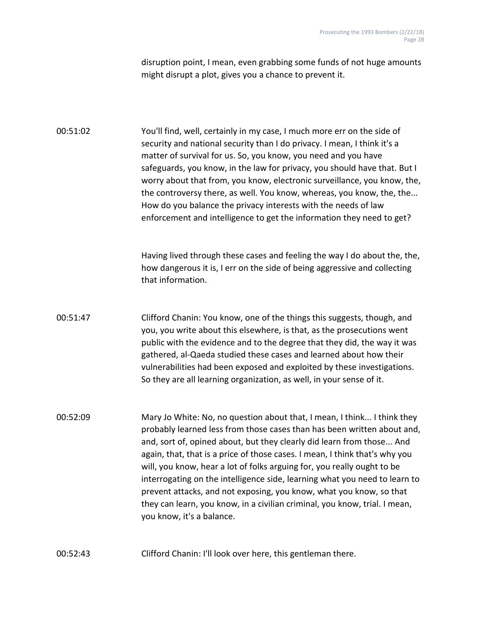disruption point, I mean, even grabbing some funds of not huge amounts might disrupt a plot, gives you a chance to prevent it.

00:51:02 You'll find, well, certainly in my case, I much more err on the side of security and national security than I do privacy. I mean, I think it's a matter of survival for us. So, you know, you need and you have safeguards, you know, in the law for privacy, you should have that. But I worry about that from, you know, electronic surveillance, you know, the, the controversy there, as well. You know, whereas, you know, the, the... How do you balance the privacy interests with the needs of law enforcement and intelligence to get the information they need to get?

> Having lived through these cases and feeling the way I do about the, the, how dangerous it is, I err on the side of being aggressive and collecting that information.

- 00:51:47 Clifford Chanin: You know, one of the things this suggests, though, and you, you write about this elsewhere, is that, as the prosecutions went public with the evidence and to the degree that they did, the way it was gathered, al-Qaeda studied these cases and learned about how their vulnerabilities had been exposed and exploited by these investigations. So they are all learning organization, as well, in your sense of it.
- 00:52:09 Mary Jo White: No, no question about that, I mean, I think... I think they probably learned less from those cases than has been written about and, and, sort of, opined about, but they clearly did learn from those... And again, that, that is a price of those cases. I mean, I think that's why you will, you know, hear a lot of folks arguing for, you really ought to be interrogating on the intelligence side, learning what you need to learn to prevent attacks, and not exposing, you know, what you know, so that they can learn, you know, in a civilian criminal, you know, trial. I mean, you know, it's a balance.

00:52:43 Clifford Chanin: I'll look over here, this gentleman there.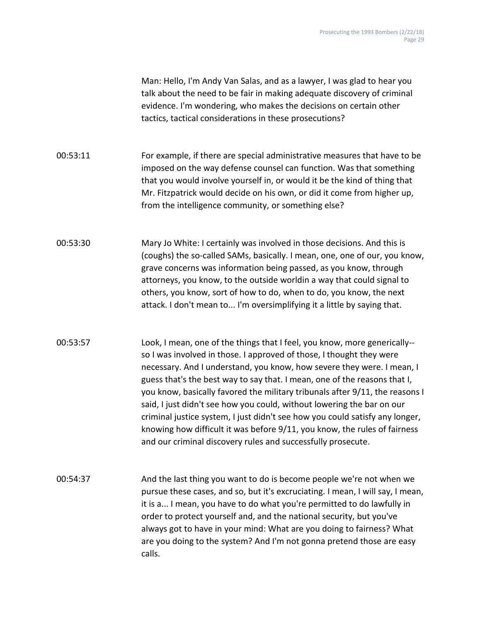Man: Hello, I'm Andy Van Salas, and as a lawyer, I was glad to hear you talk about the need to be fair in making adequate discovery of criminal evidence. I'm wondering, who makes the decisions on certain other tactics, tactical considerations in these prosecutions?

00:53:11 For example, if there are special administrative measures that have to be imposed on the way defense counsel can function. Was that something that you would involve yourself in, or would it be the kind of thing that Mr. Fitzpatrick would decide on his own, or did it come from higher up, from the intelligence community, or something else?

00:53:30 Mary Jo White: I certainly was involved in those decisions. And this is (coughs) the so-called SAMs, basically. I mean, one, one of our, you know, grave concerns was information being passed, as you know, through attorneys, you know, to the outside worldin a way that could signal to others, you know, sort of how to do, when to do, you know, the next attack. I don't mean to... I'm oversimplifying it a little by saying that.

00:53:57 Look, I mean, one of the things that I feel, you know, more generically- so I was involved in those. I approved of those, I thought they were necessary. And I understand, you know, how severe they were. I mean, I guess that's the best way to say that. I mean, one of the reasons that I, you know, basically favored the military tribunals after 9/11, the reasons I said, I just didn't see how you could, without lowering the bar on our criminal justice system, I just didn't see how you could satisfy any longer, knowing how difficult it was before 9/11, you know, the rules of fairness and our criminal discovery rules and successfully prosecute.

00:54:37 And the last thing you want to do is become people we're not when we pursue these cases, and so, but it's excruciating. I mean, I will say, I mean, it is a... I mean, you have to do what you're permitted to do lawfully in order to protect yourself and, and the national security, but you've always got to have in your mind: What are you doing to fairness? What are you doing to the system? And I'm not gonna pretend those are easy calls.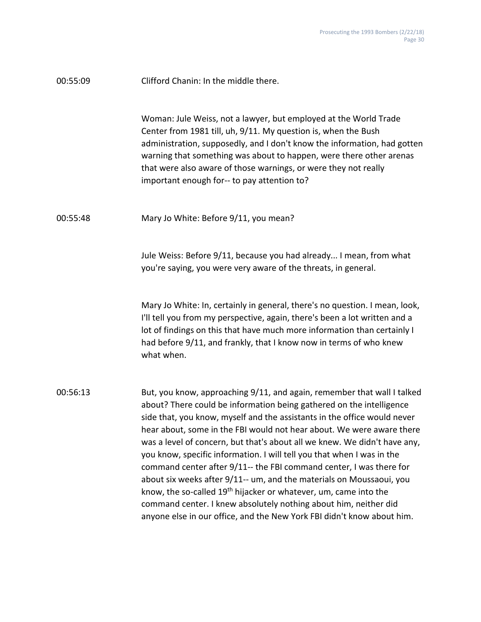| 00:55:09 | Clifford Chanin: In the middle there.                                                                                                                                                                                                                                                                                                                                                                                                                                                                                                                                                                                                                                                                                                                                                                                                    |
|----------|------------------------------------------------------------------------------------------------------------------------------------------------------------------------------------------------------------------------------------------------------------------------------------------------------------------------------------------------------------------------------------------------------------------------------------------------------------------------------------------------------------------------------------------------------------------------------------------------------------------------------------------------------------------------------------------------------------------------------------------------------------------------------------------------------------------------------------------|
|          | Woman: Jule Weiss, not a lawyer, but employed at the World Trade<br>Center from 1981 till, uh, 9/11. My question is, when the Bush<br>administration, supposedly, and I don't know the information, had gotten<br>warning that something was about to happen, were there other arenas<br>that were also aware of those warnings, or were they not really<br>important enough for-- to pay attention to?                                                                                                                                                                                                                                                                                                                                                                                                                                  |
| 00:55:48 | Mary Jo White: Before 9/11, you mean?                                                                                                                                                                                                                                                                                                                                                                                                                                                                                                                                                                                                                                                                                                                                                                                                    |
|          | Jule Weiss: Before 9/11, because you had already I mean, from what<br>you're saying, you were very aware of the threats, in general.                                                                                                                                                                                                                                                                                                                                                                                                                                                                                                                                                                                                                                                                                                     |
|          | Mary Jo White: In, certainly in general, there's no question. I mean, look,<br>I'll tell you from my perspective, again, there's been a lot written and a<br>lot of findings on this that have much more information than certainly I<br>had before 9/11, and frankly, that I know now in terms of who knew<br>what when.                                                                                                                                                                                                                                                                                                                                                                                                                                                                                                                |
| 00:56:13 | But, you know, approaching 9/11, and again, remember that wall I talked<br>about? There could be information being gathered on the intelligence<br>side that, you know, myself and the assistants in the office would never<br>hear about, some in the FBI would not hear about. We were aware there<br>was a level of concern, but that's about all we knew. We didn't have any,<br>you know, specific information. I will tell you that when I was in the<br>command center after 9/11-- the FBI command center, I was there for<br>about six weeks after 9/11-- um, and the materials on Moussaoui, you<br>know, the so-called 19 <sup>th</sup> hijacker or whatever, um, came into the<br>command center. I knew absolutely nothing about him, neither did<br>anyone else in our office, and the New York FBI didn't know about him. |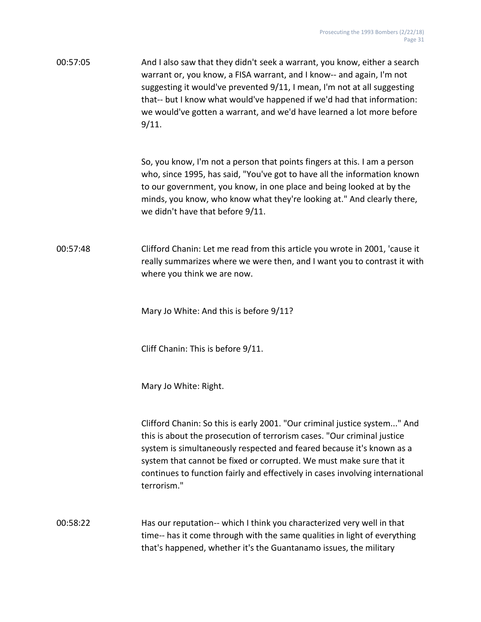00:57:05 And I also saw that they didn't seek a warrant, you know, either a search warrant or, you know, a FISA warrant, and I know-- and again, I'm not suggesting it would've prevented 9/11, I mean, I'm not at all suggesting that-- but I know what would've happened if we'd had that information: we would've gotten a warrant, and we'd have learned a lot more before 9/11.

> So, you know, I'm not a person that points fingers at this. I am a person who, since 1995, has said, "You've got to have all the information known to our government, you know, in one place and being looked at by the minds, you know, who know what they're looking at." And clearly there, we didn't have that before 9/11.

00:57:48 Clifford Chanin: Let me read from this article you wrote in 2001, 'cause it really summarizes where we were then, and I want you to contrast it with where you think we are now.

Mary Jo White: And this is before 9/11?

Cliff Chanin: This is before 9/11.

Mary Jo White: Right.

Clifford Chanin: So this is early 2001. "Our criminal justice system..." And this is about the prosecution of terrorism cases. "Our criminal justice system is simultaneously respected and feared because it's known as a system that cannot be fixed or corrupted. We must make sure that it continues to function fairly and effectively in cases involving international terrorism."

00:58:22 Has our reputation-- which I think you characterized very well in that time-- has it come through with the same qualities in light of everything that's happened, whether it's the Guantanamo issues, the military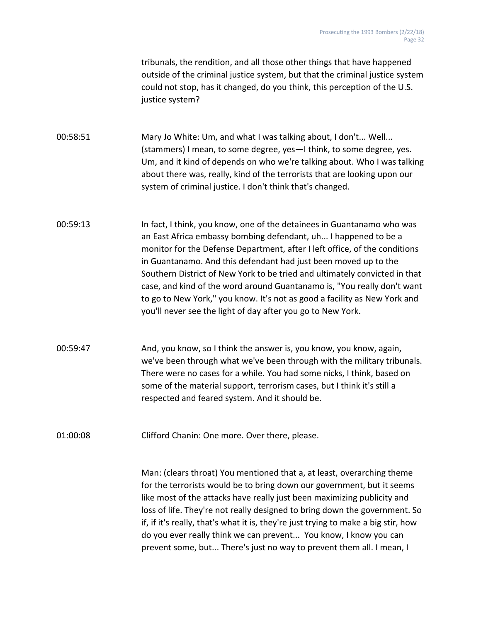tribunals, the rendition, and all those other things that have happened outside of the criminal justice system, but that the criminal justice system could not stop, has it changed, do you think, this perception of the U.S. justice system?

00:58:51 Mary Jo White: Um, and what I was talking about, I don't... Well... (stammers) I mean, to some degree, yes—I think, to some degree, yes. Um, and it kind of depends on who we're talking about. Who I was talking about there was, really, kind of the terrorists that are looking upon our system of criminal justice. I don't think that's changed.

- 00:59:13 In fact, I think, you know, one of the detainees in Guantanamo who was an East Africa embassy bombing defendant, uh... I happened to be a monitor for the Defense Department, after I left office, of the conditions in Guantanamo. And this defendant had just been moved up to the Southern District of New York to be tried and ultimately convicted in that case, and kind of the word around Guantanamo is, "You really don't want to go to New York," you know. It's not as good a facility as New York and you'll never see the light of day after you go to New York.
- 00:59:47 And, you know, so I think the answer is, you know, you know, again, we've been through what we've been through with the military tribunals. There were no cases for a while. You had some nicks, I think, based on some of the material support, terrorism cases, but I think it's still a respected and feared system. And it should be.

01:00:08 Clifford Chanin: One more. Over there, please.

Man: (clears throat) You mentioned that a, at least, overarching theme for the terrorists would be to bring down our government, but it seems like most of the attacks have really just been maximizing publicity and loss of life. They're not really designed to bring down the government. So if, if it's really, that's what it is, they're just trying to make a big stir, how do you ever really think we can prevent... You know, I know you can prevent some, but... There's just no way to prevent them all. I mean, I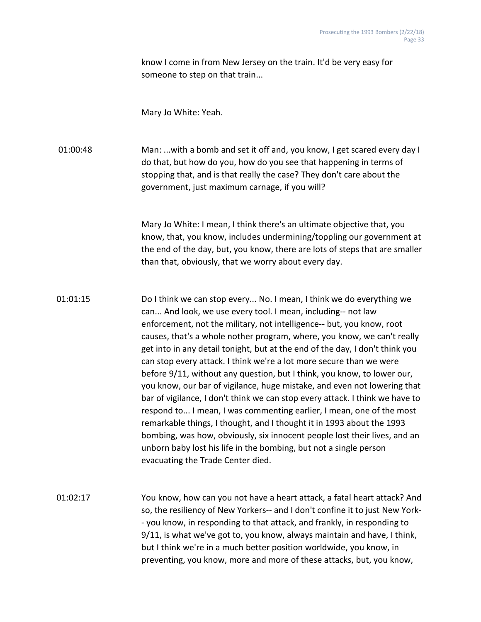know I come in from New Jersey on the train. It'd be very easy for someone to step on that train...

Mary Jo White: Yeah.

01:00:48 Man: ...with a bomb and set it off and, you know, I get scared every day I do that, but how do you, how do you see that happening in terms of stopping that, and is that really the case? They don't care about the government, just maximum carnage, if you will?

> Mary Jo White: I mean, I think there's an ultimate objective that, you know, that, you know, includes undermining/toppling our government at the end of the day, but, you know, there are lots of steps that are smaller than that, obviously, that we worry about every day.

01:01:15 Do I think we can stop every... No. I mean, I think we do everything we can... And look, we use every tool. I mean, including-- not law enforcement, not the military, not intelligence-- but, you know, root causes, that's a whole nother program, where, you know, we can't really get into in any detail tonight, but at the end of the day, I don't think you can stop every attack. I think we're a lot more secure than we were before 9/11, without any question, but I think, you know, to lower our, you know, our bar of vigilance, huge mistake, and even not lowering that bar of vigilance, I don't think we can stop every attack. I think we have to respond to... I mean, I was commenting earlier, I mean, one of the most remarkable things, I thought, and I thought it in 1993 about the 1993 bombing, was how, obviously, six innocent people lost their lives, and an unborn baby lost his life in the bombing, but not a single person evacuating the Trade Center died.

01:02:17 You know, how can you not have a heart attack, a fatal heart attack? And so, the resiliency of New Yorkers-- and I don't confine it to just New York- - you know, in responding to that attack, and frankly, in responding to 9/11, is what we've got to, you know, always maintain and have, I think, but I think we're in a much better position worldwide, you know, in preventing, you know, more and more of these attacks, but, you know,